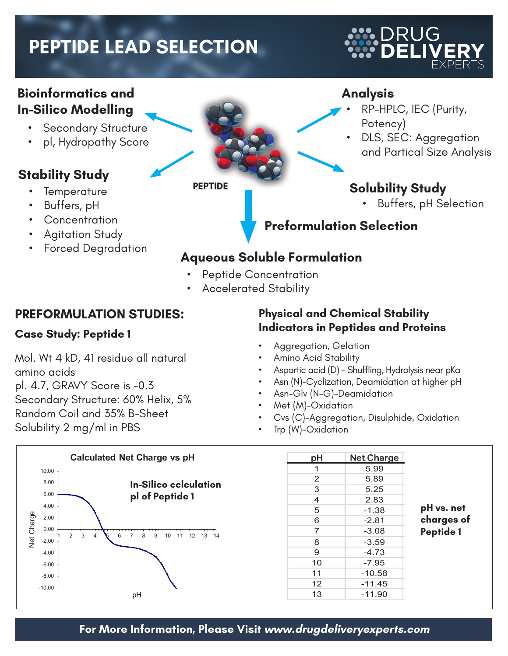# **PEPTIDE LEAD SELECTION**

#### **Bioinformatics and In-Silico Modelling**

- • Secondary Structure
- pl, Hydropathy Score

## **Stability Study**

- **Temperature**
- Buffers, pH
- **Concentration**
- **Agitation Study**
- 

#### **PEPTIDE**

#### **Analysis**

- RP-HPLC, IEC (Purity, Potency)
- DLS, SEC: Aggregation and Partical Size Analysis

## **Solubility Study**

**Buffers, pH Selection** 

## **Preformulation Selection**

# Forced Degradation **Aqueous Soluble Formulation**

- Peptide Concentration
- **Accelerated Stability**

#### **PREFORMULATION STUDIES:**

#### **Case Study: Peptide 1**

Mol. Wt 4 kD, 41 residue all natural amino acids pl. 4.7, GRAVY Score is -0.3

Secondary Structure: 60% Helix, 5%

Random Coil and 35% B-Sheet

Solubility 2 mg/ml in PBS

#### **Physical and Chemical Stability Indicators in Peptides and Proteins**

- Aggregation, Gelation
- Amino Acid Stability
- Aspartic acid (D) Shuffling, Hydrolysis near pKa
- Asn (N)-Cyclization, Deamidation at higher pH
- Asn-Glv (N-G)-Deamidation
- Met (M)-Oxidation
- Cvs (C)-Aggregation, Disulphide, Oxidation
- Trp  $(W)$ -Oxidation



|                  | <b>Net Charge</b> | рH |
|------------------|-------------------|----|
|                  | 5.99              | 1  |
|                  | 5.89              | 2  |
|                  | 5.25              | 3  |
| pH vs. net       | 2.83              | 4  |
|                  | $-1.38$           | 5  |
| charges of       | $-2.81$           | 6  |
| <b>Peptide 1</b> | $-3.08$           | 7  |
|                  | $-3.59$           | 8  |
|                  | $-4.73$           | 9  |
|                  | $-7.95$           | 10 |
|                  | $-10.58$          | 11 |
|                  | $-11.45$          | 12 |
|                  | $-11.90$          | 13 |
|                  |                   |    |

*\*Absolute Net Charge per Residue*

# DRUG